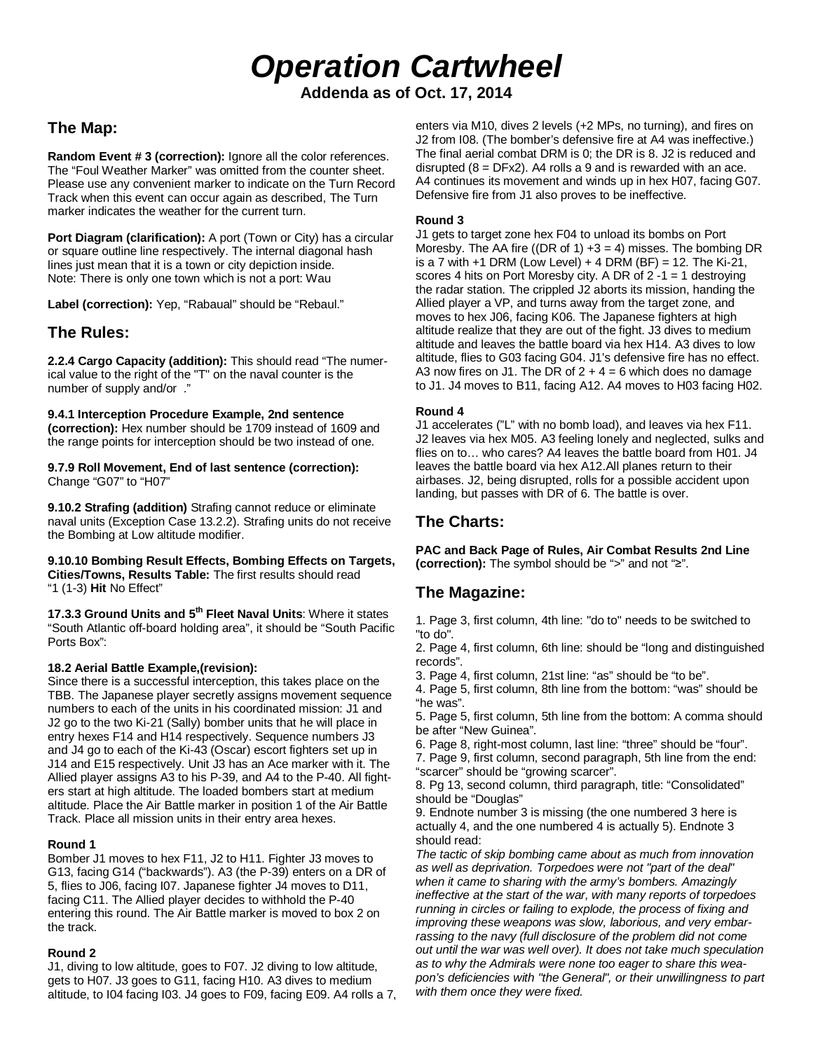*Operation Cartwheel* **Addenda as of Oct. 17, 2014**

# **The Map:**

**Random Event # 3 (correction):** Ignore all the color references. The "Foul Weather Marker" was omitted from the counter sheet. Please use any convenient marker to indicate on the Turn Record Track when this event can occur again as described, The Turn marker indicates the weather for the current turn.

**Port Diagram (clarification):** A port (Town or City) has a circular or square outline line respectively. The internal diagonal hash lines just mean that it is a town or city depiction inside. Note: There is only one town which is not a port: Wau

**Label (correction):** Yep, "Rabaual" should be "Rebaul."

## **The Rules:**

**2.2.4 Cargo Capacity (addition):** This should read "The numerical value to the right of the "T" on the naval counter is the number of supply and/or ."

**9.4.1 Interception Procedure Example, 2nd sentence (correction):** Hex number should be 1709 instead of 1609 and the range points for interception should be two instead of one.

**9.7.9 Roll Movement, End of last sentence (correction):**  Change "G07" to "H07"

**9.10.2 Strafing (addition)** Strafing cannot reduce or eliminate naval units (Exception Case 13.2.2). Strafing units do not receive the Bombing at Low altitude modifier.

**9.10.10 Bombing Result Effects, Bombing Effects on Targets, Cities/Towns, Results Table:** The first results should read "1 (1-3) **Hit** No Effect"

**17.3.3 Ground Units and 5th Fleet Naval Units**: Where it states "South Atlantic off-board holding area", it should be "South Pacific Ports Box":

#### **18.2 Aerial Battle Example,(revision):**

Since there is a successful interception, this takes place on the TBB. The Japanese player secretly assigns movement sequence numbers to each of the units in his coordinated mission: J1 and J2 go to the two Ki-21 (Sally) bomber units that he will place in entry hexes F14 and H14 respectively. Sequence numbers J3 and J4 go to each of the Ki-43 (Oscar) escort fighters set up in J14 and E15 respectively. Unit J3 has an Ace marker with it. The Allied player assigns A3 to his P-39, and A4 to the P-40. All fighters start at high altitude. The loaded bombers start at medium altitude. Place the Air Battle marker in position 1 of the Air Battle Track. Place all mission units in their entry area hexes.

#### **Round 1**

Bomber J1 moves to hex F11, J2 to H11. Fighter J3 moves to G13, facing G14 ("backwards"). A3 (the P-39) enters on a DR of 5, flies to J06, facing I07. Japanese fighter J4 moves to D11, facing C11. The Allied player decides to withhold the P-40 entering this round. The Air Battle marker is moved to box 2 on the track.

#### **Round 2**

J1, diving to low altitude, goes to F07. J2 diving to low altitude, gets to H07. J3 goes to G11, facing H10. A3 dives to medium altitude, to I04 facing I03. J4 goes to F09, facing E09. A4 rolls a 7, enters via M10, dives 2 levels (+2 MPs, no turning), and fires on J2 from I08. (The bomber's defensive fire at A4 was ineffective.) The final aerial combat DRM is 0; the DR is 8. J2 is reduced and disrupted  $(8 = DFx2)$ . A4 rolls a 9 and is rewarded with an ace. A4 continues its movement and winds up in hex H07, facing G07. Defensive fire from J1 also proves to be ineffective.

#### **Round 3**

J1 gets to target zone hex F04 to unload its bombs on Port Moresby. The AA fire ((DR of 1)  $+3 = 4$ ) misses. The bombing DR is a 7 with  $+1$  DRM (Low Level)  $+4$  DRM (BF) = 12. The Ki-21, scores 4 hits on Port Moresby city. A DR of 2 -1 = 1 destroying the radar station. The crippled J2 aborts its mission, handing the Allied player a VP, and turns away from the target zone, and moves to hex J06, facing K06. The Japanese fighters at high altitude realize that they are out of the fight. J3 dives to medium altitude and leaves the battle board via hex H14. A3 dives to low altitude, flies to G03 facing G04. J1's defensive fire has no effect. A3 now fires on J1. The DR of  $2 + 4 = 6$  which does no damage to J1. J4 moves to B11, facing A12. A4 moves to H03 facing H02.

#### **Round 4**

J1 accelerates ("L" with no bomb load), and leaves via hex F11. J2 leaves via hex M05. A3 feeling lonely and neglected, sulks and flies on to… who cares? A4 leaves the battle board from H01. J4 leaves the battle board via hex A12.All planes return to their airbases. J2, being disrupted, rolls for a possible accident upon landing, but passes with DR of 6. The battle is over.

## **The Charts:**

**PAC and Back Page of Rules, Air Combat Results 2nd Line (correction):** The symbol should be ">" and not "≥".

### **The Magazine:**

1. Page 3, first column, 4th line: "do to" needs to be switched to "to do".

2. Page 4, first column, 6th line: should be "long and distinguished records".

3. Page 4, first column, 21st line: "as" should be "to be".

4. Page 5, first column, 8th line from the bottom: "was" should be "he was".

5. Page 5, first column, 5th line from the bottom: A comma should be after "New Guinea".

6. Page 8, right-most column, last line: "three" should be "four".

7. Page 9, first column, second paragraph, 5th line from the end: "scarcer" should be "growing scarcer".

8. Pg 13, second column, third paragraph, title: "Consolidated" should be "Douglas"

9. Endnote number 3 is missing (the one numbered 3 here is actually 4, and the one numbered 4 is actually 5). Endnote 3 should read:

*The tactic of skip bombing came about as much from innovation as well as deprivation. Torpedoes were not "part of the deal" when it came to sharing with the army's bombers. Amazingly ineffective at the start of the war, with many reports of torpedoes running in circles or failing to explode, the process of fixing and improving these weapons was slow, laborious, and very embarrassing to the navy (full disclosure of the problem did not come out until the war was well over). It does not take much speculation as to why the Admirals were none too eager to share this weapon's deficiencies with "the General", or their unwillingness to part with them once they were fixed.*